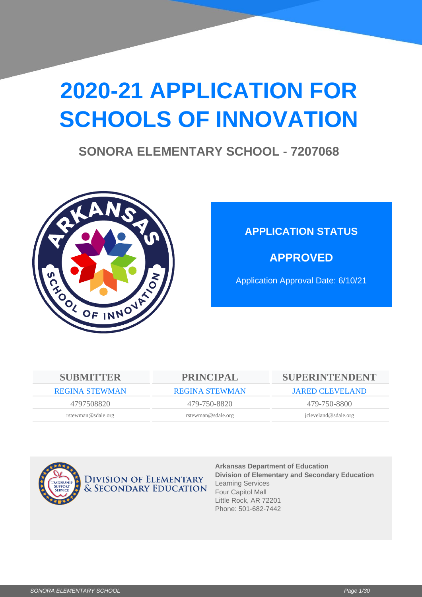# **2020-21 APPLICATION FOR SCHOOLS OF INNOVATION**

## **SONORA ELEMENTARY SCHOOL - 7207068**



## **APPLICATION STATUS**

**APPROVED**

Application Approval Date: 6/10/21

| <b>SUBMITTER</b>      | <b>PRINCIPAL</b>      | <b>SUPERINTENDENT</b>  |
|-----------------------|-----------------------|------------------------|
| <b>REGINA STEWMAN</b> | <b>REGINA STEWMAN</b> | <b>JARED CLEVELAND</b> |
| 4797508820            | 479-750-8820          | 479-750-8800           |
| rstewman@sdale.org    | rstewman@sdale.org    | jcleveland@sdale.org   |
|                       |                       |                        |



**Arkansas Department of Education Division of Elementary and Secondary Education** Learning Services Four Capitol Mall Little Rock, AR 72201 Phone: 501-682-7442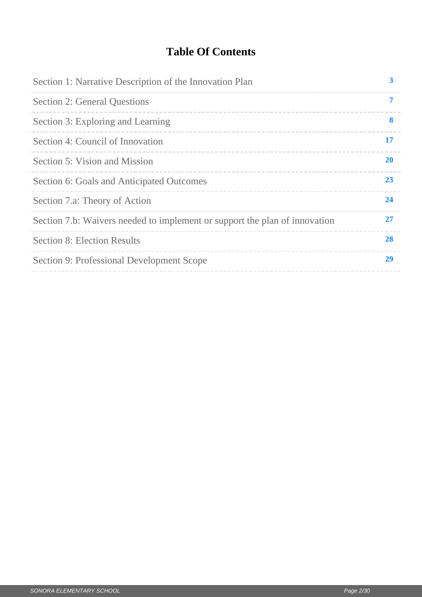## **Table Of Contents**

| Section 1: Narrative Description of the Innovation Plan                    | 3         |
|----------------------------------------------------------------------------|-----------|
| <b>Section 2: General Questions</b>                                        | 7         |
| Section 3: Exploring and Learning                                          | 8         |
| Section 4: Council of Innovation                                           | 17        |
| Section 5: Vision and Mission                                              | <b>20</b> |
| Section 6: Goals and Anticipated Outcomes                                  | 23        |
| Section 7.a: Theory of Action                                              | 24        |
| Section 7.b: Waivers needed to implement or support the plan of innovation | 27        |
| <b>Section 8: Election Results</b>                                         | 28        |
| Section 9: Professional Development Scope                                  | 29        |
|                                                                            |           |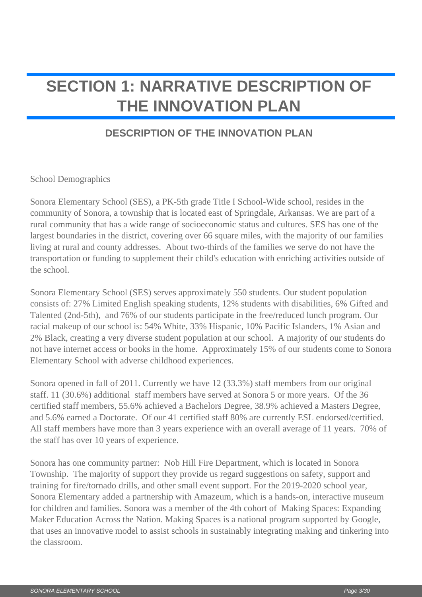## <span id="page-2-0"></span>**SECTION 1: NARRATIVE DESCRIPTION OF THE INNOVATION PLAN**

### **DESCRIPTION OF THE INNOVATION PLAN**

School Demographics

Sonora Elementary School (SES), a PK-5th grade Title I School-Wide school, resides in the community of Sonora, a township that is located east of Springdale, Arkansas. We are part of a rural community that has a wide range of socioeconomic status and cultures. SES has one of the largest boundaries in the district, covering over 66 square miles, with the majority of our families living at rural and county addresses. About two-thirds of the families we serve do not have the transportation or funding to supplement their child's education with enriching activities outside of the school.

Sonora Elementary School (SES) serves approximately 550 students. Our student population consists of: 27% Limited English speaking students, 12% students with disabilities, 6% Gifted and Talented (2nd-5th), and 76% of our students participate in the free/reduced lunch program. Our racial makeup of our school is: 54% White, 33% Hispanic, 10% Pacific Islanders, 1% Asian and 2% Black, creating a very diverse student population at our school. A majority of our students do not have internet access or books in the home. Approximately 15% of our students come to Sonora Elementary School with adverse childhood experiences.

Sonora opened in fall of 2011. Currently we have 12 (33.3%) staff members from our original staff. 11 (30.6%) additional staff members have served at Sonora 5 or more years. Of the 36 certified staff members, 55.6% achieved a Bachelors Degree, 38.9% achieved a Masters Degree, and 5.6% earned a Doctorate. Of our 41 certified staff 80% are currently ESL endorsed/certified. All staff members have more than 3 years experience with an overall average of 11 years. 70% of the staff has over 10 years of experience.

Sonora has one community partner: Nob Hill Fire Department, which is located in Sonora Township. The majority of support they provide us regard suggestions on safety, support and training for fire/tornado drills, and other small event support. For the 2019-2020 school year, Sonora Elementary added a partnership with Amazeum, which is a hands-on, interactive museum for children and families. Sonora was a member of the 4th cohort of Making Spaces: Expanding Maker Education Across the Nation. Making Spaces is a national program supported by Google, that uses an innovative model to assist schools in sustainably integrating making and tinkering into the classroom.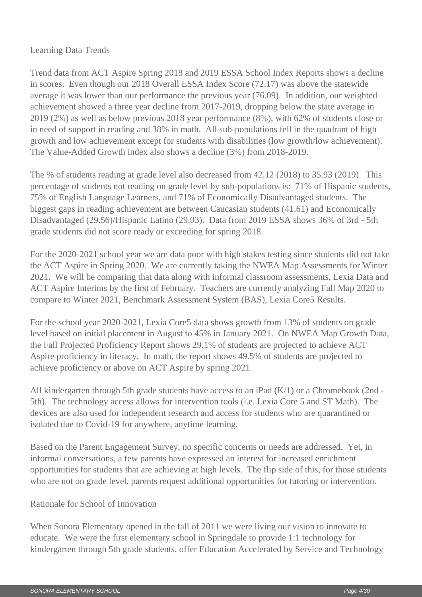### Learning Data Trends

Trend data from ACT Aspire Spring 2018 and 2019 ESSA School Index Reports shows a decline in scores. Even though our 2018 Overall ESSA Index Score (72.17) was above the statewide average it was lower than our performance the previous year (76.09). In addition, our weighted achievement showed a three year decline from 2017-2019, dropping below the state average in 2019 (2%) as well as below previous 2018 year performance (8%), with 62% of students close or in need of support in reading and 38% in math. All sub-populations fell in the quadrant of high growth and low achievement except for students with disabilities (low growth/low achievement). The Value-Added Growth index also shows a decline (3%) from 2018-2019.

The % of students reading at grade level also decreased from 42.12 (2018) to 35.93 (2019). This percentage of students not reading on grade level by sub-populations is: 71% of Hispanic students, 75% of English Language Learners, and 71% of Economically Disadvantaged students. The biggest gaps in reading achievement are between Caucasian students (41.61) and Economically Disadvantaged (29.56)/Hispanic Latino (29.03). Data from 2019 ESSA shows 36% of 3rd - 5th grade students did not score ready or exceeding for spring 2018.

For the 2020-2021 school year we are data poor with high stakes testing since students did not take the ACT Aspire in Spring 2020. We are currently taking the NWEA Map Assessments for Winter 2021. We will be comparing that data along with informal classroom assessments, Lexia Data and ACT Aspire Interims by the first of February. Teachers are currently analyzing Fall Map 2020 to compare to Winter 2021, Benchmark Assessment System (BAS), Lexia Core5 Results.

For the school year 2020-2021, Lexia Core5 data shows growth from 13% of students on grade level based on initial placement in August to 45% in January 2021. On NWEA Map Growth Data, the Fall Projected Proficiency Report shows 29.1% of students are projected to achieve ACT Aspire proficiency in literacy. In math, the report shows 49.5% of students are projected to achieve proficiency or above on ACT Aspire by spring 2021.

All kindergarten through 5th grade students have access to an iPad (K/1) or a Chromebook (2nd - 5th). The technology access allows for intervention tools (i.e. Lexia Core 5 and ST Math). The devices are also used for independent research and access for students who are quarantined or isolated due to Covid-19 for anywhere, anytime learning.

Based on the Parent Engagement Survey, no specific concerns or needs are addressed. Yet, in informal conversations, a few parents have expressed an interest for increased enrichment opportunities for students that are achieving at high levels. The flip side of this, for those students who are not on grade level, parents request additional opportunities for tutoring or intervention.

### Rationale for School of Innovation

When Sonora Elementary opened in the fall of 2011 we were living our vision to innovate to educate. We were the first elementary school in Springdale to provide 1:1 technology for kindergarten through 5th grade students, offer Education Accelerated by Service and Technology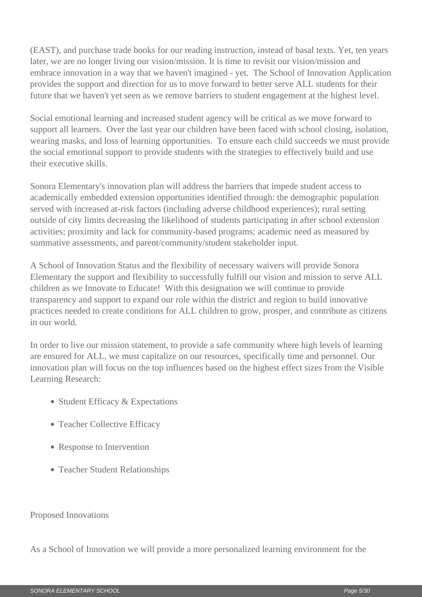(EAST), and purchase trade books for our reading instruction, instead of basal texts. Yet, ten years later, we are no longer living our vision/mission. It is time to revisit our vision/mission and embrace innovation in a way that we haven't imagined - yet. The School of Innovation Application provides the support and direction for us to move forward to better serve ALL students for their future that we haven't yet seen as we remove barriers to student engagement at the highest level.

Social emotional learning and increased student agency will be critical as we move forward to support all learners. Over the last year our children have been faced with school closing, isolation, wearing masks, and loss of learning opportunities. To ensure each child succeeds we must provide the social emotional support to provide students with the strategies to effectively build and use their executive skills.

Sonora Elementary's innovation plan will address the barriers that impede student access to academically embedded extension opportunities identified through: the demographic population served with increased at-risk factors (including adverse childhood experiences); rural setting outside of city limits decreasing the likelihood of students participating in after school extension activities; proximity and lack for community-based programs; academic need as measured by summative assessments, and parent/community/student stakeholder input.

A School of Innovation Status and the flexibility of necessary waivers will provide Sonora Elementary the support and flexibility to successfully fulfill our vision and mission to serve ALL children as we Innovate to Educate! With this designation we will continue to provide transparency and support to expand our role within the district and region to build innovative practices needed to create conditions for ALL children to grow, prosper, and contribute as citizens in our world.

In order to live our mission statement, to provide a safe community where high levels of learning are ensured for ALL, we must capitalize on our resources, specifically time and personnel. Our innovation plan will focus on the top influences based on the highest effect sizes from the Visible Learning Research:

- Student Efficacy & Expectations
- Teacher Collective Efficacy
- Response to Intervention
- Teacher Student Relationships

#### Proposed Innovations

As a School of Innovation we will provide a more personalized learning environment for the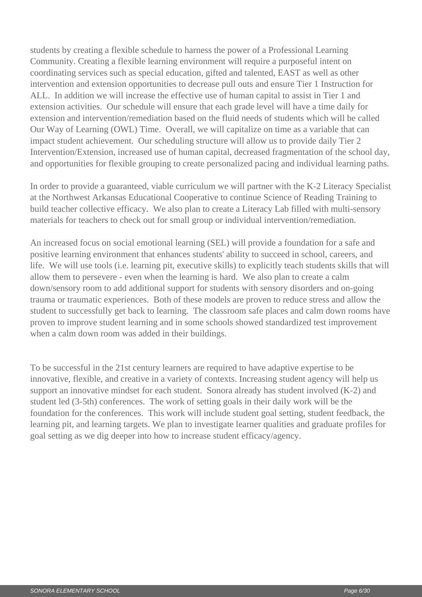students by creating a flexible schedule to harness the power of a Professional Learning Community. Creating a flexible learning environment will require a purposeful intent on coordinating services such as special education, gifted and talented, EAST as well as other intervention and extension opportunities to decrease pull outs and ensure Tier 1 Instruction for ALL. In addition we will increase the effective use of human capital to assist in Tier 1 and extension activities. Our schedule will ensure that each grade level will have a time daily for extension and intervention/remediation based on the fluid needs of students which will be called Our Way of Learning (OWL) Time. Overall, we will capitalize on time as a variable that can impact student achievement. Our scheduling structure will allow us to provide daily Tier 2 Intervention/Extension, increased use of human capital, decreased fragmentation of the school day, and opportunities for flexible grouping to create personalized pacing and individual learning paths.

In order to provide a guaranteed, viable curriculum we will partner with the K-2 Literacy Specialist at the Northwest Arkansas Educational Cooperative to continue Science of Reading Training to build teacher collective efficacy. We also plan to create a Literacy Lab filled with multi-sensory materials for teachers to check out for small group or individual intervention/remediation.

An increased focus on social emotional learning (SEL) will provide a foundation for a safe and positive learning environment that enhances students' ability to succeed in school, careers, and life. We will use tools (i.e. learning pit, executive skills) to explicitly teach students skills that will allow them to persevere - even when the learning is hard. We also plan to create a calm down/sensory room to add additional support for students with sensory disorders and on-going trauma or traumatic experiences. Both of these models are proven to reduce stress and allow the student to successfully get back to learning. The classroom safe places and calm down rooms have proven to improve student learning and in some schools showed standardized test improvement when a calm down room was added in their buildings.

To be successful in the 21st century learners are required to have adaptive expertise to be innovative, flexible, and creative in a variety of contexts. Increasing student agency will help us support an innovative mindset for each student. Sonora already has student involved (K-2) and student led (3-5th) conferences. The work of setting goals in their daily work will be the foundation for the conferences. This work will include student goal setting, student feedback, the learning pit, and learning targets. We plan to investigate learner qualities and graduate profiles for goal setting as we dig deeper into how to increase student efficacy/agency.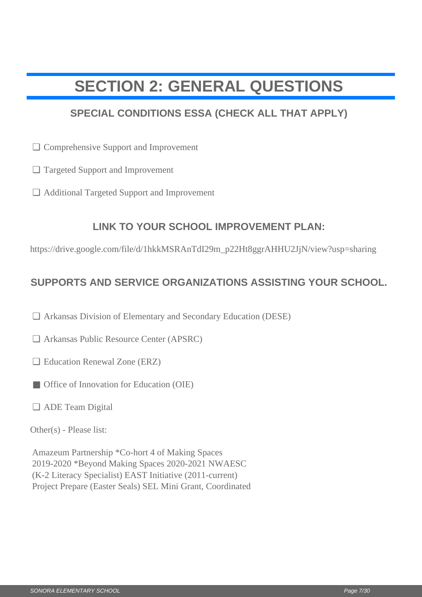## <span id="page-6-0"></span>**SECTION 2: GENERAL QUESTIONS**

### **SPECIAL CONDITIONS ESSA (CHECK ALL THAT APPLY)**

- **Comprehensive Support and Improvement**
- Targeted Support and Improvement ❏
- Additional Targeted Support and Improvement ❏

### **LINK TO YOUR SCHOOL IMPROVEMENT PLAN:**

https://drive.google.com/file/d/1hkkMSRAnTdI29m\_p22Ht8ggrAHHU2JjN/view?usp=sharing

### **SUPPORTS AND SERVICE ORGANIZATIONS ASSISTING YOUR SCHOOL.**

- □ Arkansas Division of Elementary and Secondary Education (DESE)
- Arkansas Public Resource Center (APSRC) ❏
- □ Education Renewal Zone (ERZ)
- Office of Innovation for Education (OIE)
- ADE Team Digital ❏

Other(s) - Please list:

<p>□ Comprehensive Support and Improvement</p>\n<p>□ Targed Support and Improvement</p>\n<p>□ Additional Target Support and Improvement</p>\n<p>□ IMK TO YOUR SCHOOL IMPROVEMENT PLAN:</p>\n<p>https://drive.google.com/file/d'InkkMSR AnT d129m\_p22Hf8gprAHHU2JJN/vivev70sp-shartin</p>\n<p>SUPPORTS AND SERVICE ORGANIZATIONS ASSISTING YOUR SCHO</p>\n<p>□ Arkansas Division of Elementary and Secondary Education (DESE)</p>\n<p>□ Arkansas Public Resource Center (APSRC)</p>\n<p>□ Glucation Rnewval Zone (EKZ)</p>\n<p>□ Office of Imouation for Education (OIF)</p>\n<p>□ ADE Team Digital</p>\n<p>Other Amazeum Partnership \*Co-hort 4 of Making Spaces 2019-2020 \*Beyond Making Spaces 2020-2021 NWAESC (K-2 Literacy Specialist) EAST Initiative (2011-current) Project Prepare (Easter Seals) SEL Mini Grant, Coordinated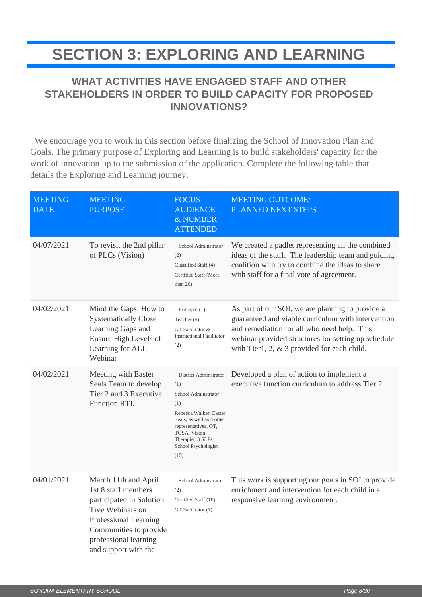## <span id="page-7-0"></span>**SECTION 3: EXPLORING AND LEARNING**

### **WHAT ACTIVITIES HAVE ENGAGED STAFF AND OTHER STAKEHOLDERS IN ORDER TO BUILD CAPACITY FOR PROPOSED INNOVATIONS?**

 We encourage you to work in this section before finalizing the School of Innovation Plan and Goals. The primary purpose of Exploring and Learning is to build stakeholders' capacity for the work of innovation up to the submission of the application. Complete the following table that details the Exploring and Learning journey.

| <b>MEETING</b><br><b>DATE</b> | <b>MEETING</b><br><b>PURPOSE</b>                                                                                                                                                                | <b>FOCUS</b><br><b>AUDIENCE</b><br>& NUMBER<br><b>ATTENDED</b>                                                                                                                                                 | <b>MEETING OUTCOME/</b><br>PLANNED NEXT STEPS                                                                                                                                                                                                                  |
|-------------------------------|-------------------------------------------------------------------------------------------------------------------------------------------------------------------------------------------------|----------------------------------------------------------------------------------------------------------------------------------------------------------------------------------------------------------------|----------------------------------------------------------------------------------------------------------------------------------------------------------------------------------------------------------------------------------------------------------------|
| 04/07/2021                    | To revisit the 2nd pillar<br>of PLCs (Vision)                                                                                                                                                   | School Adminstrator<br>(2)<br>Classified Staff (4)<br>Certified Staff (More<br>than $20$ )                                                                                                                     | We created a padlet representing all the combined<br>ideas of the staff. The leadership team and guiding<br>coalition with try to combine the ideas to share<br>with staff for a final vote of agreement.                                                      |
| 04/02/2021                    | Mind the Gaps: How to<br><b>Systematically Close</b><br>Learning Gaps and<br>Ensure High Levels of<br>Learning for ALL<br>Webinar                                                               | Principal (1)<br>Teacher (5)<br>GT Facilitator &<br><b>Instructional Facilitator</b><br>(2)                                                                                                                    | As part of our SOI, we are planning to provide a<br>guaranteed and viable curriculum with intervention<br>and remediation for all who need help. This<br>webinar provided structures for setting up schedule<br>with Tier1, 2, $\&$ 3 provided for each child. |
| 04/02/2021                    | Meeting with Easter<br>Seals Team to develop<br>Tier 2 and 3 Executive<br>Function RTI.                                                                                                         | District Adminstrator<br>(1)<br>School Adminstrator<br>(1)<br>Rebecca Walker, Easter<br>Seals, as well as 4 other<br>representatives, OT,<br>TOSA, Vision<br>Therapist, 3 SLPs,<br>School Psychologist<br>(15) | Developed a plan of action to implement a<br>executive function curriculum to address Tier 2.                                                                                                                                                                  |
| 04/01/2021                    | March 11th and April<br>1st 8 staff members<br>participated in Solution<br>Tree Webinars on<br>Professional Learning<br>Communities to provide<br>professional learning<br>and support with the | School Adminstrator<br>(2)<br>Certified Staff (10)<br>GT Facilitator (1)                                                                                                                                       | This work is supporting our goals in SOI to provide<br>enrichment and intervention for each child in a<br>responsive learning environment.                                                                                                                     |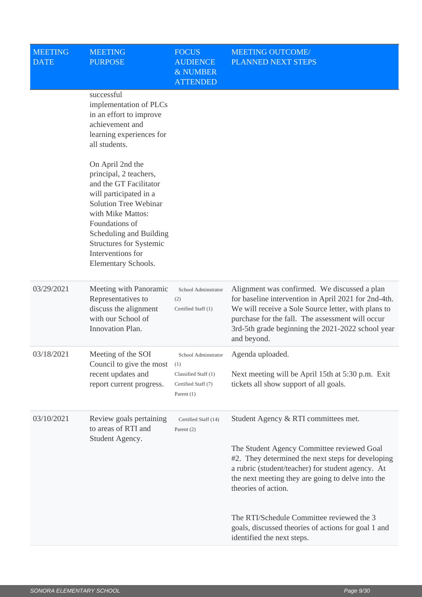| <b>MEETING</b><br><b>DATE</b> | <b>MEETING</b><br><b>PURPOSE</b>                                                                                                                                                                                                                                        | <b>FOCUS</b><br><b>AUDIENCE</b><br>& NUMBER<br><b>ATTENDED</b> | <b>MEETING OUTCOME/</b><br>PLANNED NEXT STEPS                                                                                                                                                                                                                                       |
|-------------------------------|-------------------------------------------------------------------------------------------------------------------------------------------------------------------------------------------------------------------------------------------------------------------------|----------------------------------------------------------------|-------------------------------------------------------------------------------------------------------------------------------------------------------------------------------------------------------------------------------------------------------------------------------------|
|                               | successful<br>implementation of PLCs<br>in an effort to improve<br>achievement and<br>learning experiences for<br>all students.                                                                                                                                         |                                                                |                                                                                                                                                                                                                                                                                     |
|                               | On April 2nd the<br>principal, 2 teachers,<br>and the GT Facilitator<br>will participated in a<br>Solution Tree Webinar<br>with Mike Mattos:<br>Foundations of<br>Scheduling and Building<br><b>Structures for Systemic</b><br>Interventions for<br>Elementary Schools. |                                                                |                                                                                                                                                                                                                                                                                     |
| 03/29/2021                    | Meeting with Panoramic<br>Representatives to<br>discuss the alignment<br>with our School of<br>Innovation Plan.                                                                                                                                                         | School Adminstrator<br>(2)<br>Certified Staff (1)              | Alignment was confirmed. We discussed a plan<br>for baseline intervention in April 2021 for 2nd-4th.<br>We will receive a Sole Source letter, with plans to<br>purchase for the fall. The assessment will occur<br>3rd-5th grade beginning the 2021-2022 school year<br>and beyond. |
| 03/18/2021                    | Meeting of the SOI<br>Council to give the most                                                                                                                                                                                                                          | School Adminstrator<br>(1)                                     | Agenda uploaded.                                                                                                                                                                                                                                                                    |
|                               | recent updates and<br>report current progress.                                                                                                                                                                                                                          | Classified Staff (1)<br>Certified Staff (7)<br>Parent $(1)$    | Next meeting will be April 15th at 5:30 p.m. Exit<br>tickets all show support of all goals.                                                                                                                                                                                         |
| 03/10/2021                    | Review goals pertaining<br>to areas of RTI and                                                                                                                                                                                                                          | Certified Staff (14)<br>Parent $(2)$                           | Student Agency & RTI committees met.                                                                                                                                                                                                                                                |
|                               | Student Agency.                                                                                                                                                                                                                                                         |                                                                | The Student Agency Committee reviewed Goal<br>#2. They determined the next steps for developing<br>a rubric (student/teacher) for student agency. At<br>the next meeting they are going to delve into the<br>theories of action.                                                    |
|                               |                                                                                                                                                                                                                                                                         |                                                                | The RTI/Schedule Committee reviewed the 3<br>goals, discussed theories of actions for goal 1 and<br>identified the next steps.                                                                                                                                                      |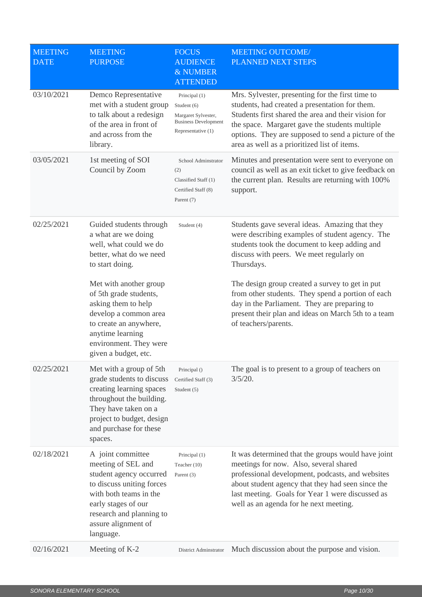| <b>MEETING</b><br><b>DATE</b> | <b>MEETING</b><br><b>PURPOSE</b>                                                                                                                                                                                 | <b>FOCUS</b><br><b>AUDIENCE</b><br>& NUMBER<br><b>ATTENDED</b>                                           | <b>MEETING OUTCOME/</b><br>PLANNED NEXT STEPS                                                                                                                                                                                                                                                                      |
|-------------------------------|------------------------------------------------------------------------------------------------------------------------------------------------------------------------------------------------------------------|----------------------------------------------------------------------------------------------------------|--------------------------------------------------------------------------------------------------------------------------------------------------------------------------------------------------------------------------------------------------------------------------------------------------------------------|
| 03/10/2021                    | Demco Representative<br>met with a student group<br>to talk about a redesign<br>of the area in front of<br>and across from the<br>library.                                                                       | Principal (1)<br>Student (6)<br>Margaret Sylvester,<br><b>Business Development</b><br>Representative (1) | Mrs. Sylvester, presenting for the first time to<br>students, had created a presentation for them.<br>Students first shared the area and their vision for<br>the space. Margaret gave the students multiple<br>options. They are supposed to send a picture of the<br>area as well as a prioritized list of items. |
| 03/05/2021                    | 1st meeting of SOI<br>Council by Zoom                                                                                                                                                                            | School Adminstrator<br>(2)<br>Classified Staff (1)<br>Certified Staff (8)<br>Parent (7)                  | Minutes and presentation were sent to everyone on<br>council as well as an exit ticket to give feedback on<br>the current plan. Results are returning with 100%<br>support.                                                                                                                                        |
| 02/25/2021                    | Guided students through<br>a what are we doing<br>well, what could we do<br>better, what do we need<br>to start doing.                                                                                           | Student (4)                                                                                              | Students gave several ideas. Amazing that they<br>were describing examples of student agency. The<br>students took the document to keep adding and<br>discuss with peers. We meet regularly on<br>Thursdays.                                                                                                       |
|                               | Met with another group<br>of 5th grade students,<br>asking them to help<br>develop a common area<br>to create an anywhere,<br>anytime learning<br>environment. They were<br>given a budget, etc.                 |                                                                                                          | The design group created a survey to get in put<br>from other students. They spend a portion of each<br>day in the Parliament. They are preparing to<br>present their plan and ideas on March 5th to a team<br>of teachers/parents.                                                                                |
| 02/25/2021                    | Met with a group of 5th<br>grade students to discuss<br>creating learning spaces<br>throughout the building.<br>They have taken on a<br>project to budget, design<br>and purchase for these<br>spaces.           | Principal ()<br>Certified Staff (3)<br>Student (5)                                                       | The goal is to present to a group of teachers on<br>$3/5/20$ .                                                                                                                                                                                                                                                     |
| 02/18/2021                    | A joint committee<br>meeting of SEL and<br>student agency occurred<br>to discuss uniting forces<br>with both teams in the<br>early stages of our<br>research and planning to<br>assure alignment of<br>language. | Principal (1)<br>Teacher (10)<br>Parent $(3)$                                                            | It was determined that the groups would have joint<br>meetings for now. Also, several shared<br>professional development, podcasts, and websites<br>about student agency that they had seen since the<br>last meeting. Goals for Year 1 were discussed as<br>well as an agenda for he next meeting.                |
| 02/16/2021                    | Meeting of K-2                                                                                                                                                                                                   | District Adminstrator                                                                                    | Much discussion about the purpose and vision.                                                                                                                                                                                                                                                                      |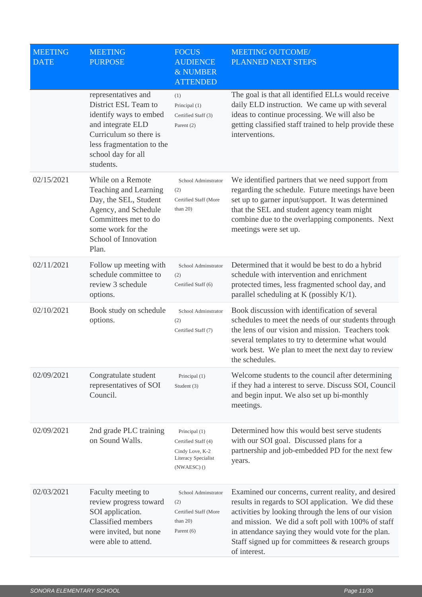| <b>MEETING</b><br><b>DATE</b> | <b>MEETING</b><br><b>PURPOSE</b>                                                                                                                                                     | <b>FOCUS</b><br><b>AUDIENCE</b><br>& NUMBER<br><b>ATTENDED</b>                                | <b>MEETING OUTCOME/</b><br>PLANNED NEXT STEPS                                                                                                                                                                                                                                                                                                      |
|-------------------------------|--------------------------------------------------------------------------------------------------------------------------------------------------------------------------------------|-----------------------------------------------------------------------------------------------|----------------------------------------------------------------------------------------------------------------------------------------------------------------------------------------------------------------------------------------------------------------------------------------------------------------------------------------------------|
|                               | representatives and<br>District ESL Team to<br>identify ways to embed<br>and integrate ELD<br>Curriculum so there is<br>less fragmentation to the<br>school day for all<br>students. | (1)<br>Principal (1)<br>Certified Staff (3)<br>Parent (2)                                     | The goal is that all identified ELLs would receive<br>daily ELD instruction. We came up with several<br>ideas to continue processing. We will also be<br>getting classified staff trained to help provide these<br>interventions.                                                                                                                  |
| 02/15/2021                    | While on a Remote<br>Teaching and Learning<br>Day, the SEL, Student<br>Agency, and Schedule<br>Committees met to do<br>some work for the<br>School of Innovation<br>Plan.            | School Adminstrator<br>(2)<br>Certified Staff (More<br>than $20$ )                            | We identified partners that we need support from<br>regarding the schedule. Future meetings have been<br>set up to garner input/support. It was determined<br>that the SEL and student agency team might<br>combine due to the overlapping components. Next<br>meetings were set up.                                                               |
| 02/11/2021                    | Follow up meeting with<br>schedule committee to<br>review 3 schedule<br>options.                                                                                                     | School Adminstrator<br>(2)<br>Certified Staff (6)                                             | Determined that it would be best to do a hybrid<br>schedule with intervention and enrichment<br>protected times, less fragmented school day, and<br>parallel scheduling at K (possibly $K/1$ ).                                                                                                                                                    |
| 02/10/2021                    | Book study on schedule<br>options.                                                                                                                                                   | School Adminstrator<br>(2)<br>Certified Staff (7)                                             | Book discussion with identification of several<br>schedules to meet the needs of our students through<br>the lens of our vision and mission. Teachers took<br>several templates to try to determine what would<br>work best. We plan to meet the next day to review<br>the schedules.                                                              |
| 02/09/2021                    | Congratulate student<br>representatives of SOI<br>Council.                                                                                                                           | Principal (1)<br>Student (3)                                                                  | Welcome students to the council after determining<br>if they had a interest to serve. Discuss SOI, Council<br>and begin input. We also set up bi-monthly<br>meetings.                                                                                                                                                                              |
| 02/09/2021                    | 2nd grade PLC training<br>on Sound Walls.                                                                                                                                            | Principal (1)<br>Certified Staff (4)<br>Cindy Love, K-2<br>Literacy Specialist<br>(NWAESC) () | Determined how this would best serve students<br>with our SOI goal. Discussed plans for a<br>partnership and job-embedded PD for the next few<br>years.                                                                                                                                                                                            |
| 02/03/2021                    | Faculty meeting to<br>review progress toward<br>SOI application.<br><b>Classified members</b><br>were invited, but none<br>were able to attend.                                      | School Adminstrator<br>(2)<br>Certified Staff (More<br>than $20$ )<br>Parent $(6)$            | Examined our concerns, current reality, and desired<br>results in regards to SOI application. We did these<br>activities by looking through the lens of our vision<br>and mission. We did a soft poll with 100% of staff<br>in attendance saying they would vote for the plan.<br>Staff signed up for committees & research groups<br>of interest. |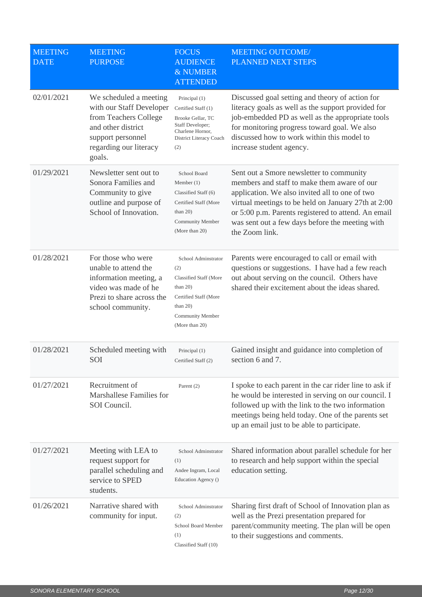| <b>MEETING</b><br><b>DATE</b> | <b>MEETING</b><br><b>PURPOSE</b>                                                                                                                           | <b>FOCUS</b><br><b>AUDIENCE</b><br>& NUMBER<br><b>ATTENDED</b>                                                                                           | <b>MEETING OUTCOME/</b><br>PLANNED NEXT STEPS                                                                                                                                                                                                                                                                                |
|-------------------------------|------------------------------------------------------------------------------------------------------------------------------------------------------------|----------------------------------------------------------------------------------------------------------------------------------------------------------|------------------------------------------------------------------------------------------------------------------------------------------------------------------------------------------------------------------------------------------------------------------------------------------------------------------------------|
| 02/01/2021                    | We scheduled a meeting<br>with our Staff Developer<br>from Teachers College<br>and other district<br>support personnel<br>regarding our literacy<br>goals. | Principal (1)<br>Certified Staff (1)<br>Brooke Gellar, TC<br>Staff Developer;<br>Charlene Hornor,<br>District Literacy Coach<br>(2)                      | Discussed goal setting and theory of action for<br>literacy goals as well as the support provided for<br>job-embedded PD as well as the appropriate tools<br>for monitoring progress toward goal. We also<br>discussed how to work within this model to<br>increase student agency.                                          |
| 01/29/2021                    | Newsletter sent out to<br>Sonora Families and<br>Community to give<br>outline and purpose of<br>School of Innovation.                                      | School Board<br>Member $(1)$<br>Classified Staff (6)<br>Certified Staff (More<br>than $20$ )<br><b>Community Member</b><br>(More than 20)                | Sent out a Smore newsletter to community<br>members and staff to make them aware of our<br>application. We also invited all to one of two<br>virtual meetings to be held on January 27th at 2:00<br>or 5:00 p.m. Parents registered to attend. An email<br>was sent out a few days before the meeting with<br>the Zoom link. |
| 01/28/2021                    | For those who were<br>unable to attend the<br>information meeting, a<br>video was made of he<br>Prezi to share across the<br>school community.             | School Adminstrator<br>(2)<br><b>Classified Staff (More</b><br>than $20$ )<br>Certified Staff (More<br>than $20$ )<br>Community Member<br>(More than 20) | Parents were encouraged to call or email with<br>questions or suggestions. I have had a few reach<br>out about serving on the council. Others have<br>shared their excitement about the ideas shared.                                                                                                                        |
| 01/28/2021                    | Scheduled meeting with<br>SOI                                                                                                                              | Principal (1)<br>Certified Staff (2)                                                                                                                     | Gained insight and guidance into completion of<br>section 6 and 7.                                                                                                                                                                                                                                                           |
| 01/27/2021                    | Recruitment of<br>Marshallese Families for<br>SOI Council.                                                                                                 | Parent $(2)$                                                                                                                                             | I spoke to each parent in the car rider line to ask if<br>he would be interested in serving on our council. I<br>followed up with the link to the two information<br>meetings being held today. One of the parents set<br>up an email just to be able to participate.                                                        |
| 01/27/2021                    | Meeting with LEA to<br>request support for<br>parallel scheduling and<br>service to SPED<br>students.                                                      | School Adminstrator<br>(1)<br>Andee Ingram, Local<br>Education Agency ()                                                                                 | Shared information about parallel schedule for her<br>to research and help support within the special<br>education setting.                                                                                                                                                                                                  |
| 01/26/2021                    | Narrative shared with<br>community for input.                                                                                                              | School Adminstrator<br>(2)<br>School Board Member<br>(1)<br>Classified Staff (10)                                                                        | Sharing first draft of School of Innovation plan as<br>well as the Prezi presentation prepared for<br>parent/community meeting. The plan will be open<br>to their suggestions and comments.                                                                                                                                  |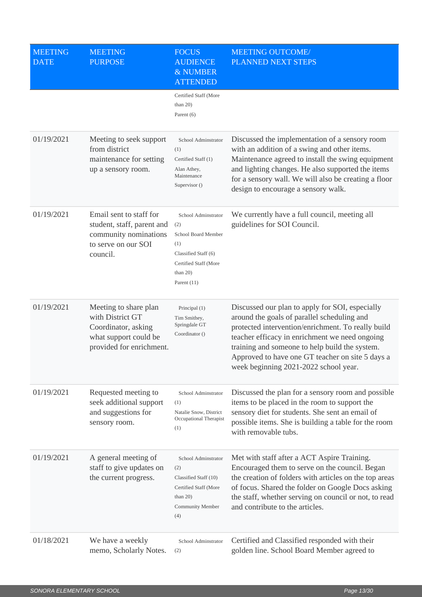| <b>MEETING</b><br><b>DATE</b> | <b>MEETING</b><br><b>PURPOSE</b>                                                                                      | <b>FOCUS</b><br><b>AUDIENCE</b><br>& NUMBER<br><b>ATTENDED</b>                                                                            | <b>MEETING OUTCOME/</b><br>PLANNED NEXT STEPS                                                                                                                                                                                                                                                                                                         |
|-------------------------------|-----------------------------------------------------------------------------------------------------------------------|-------------------------------------------------------------------------------------------------------------------------------------------|-------------------------------------------------------------------------------------------------------------------------------------------------------------------------------------------------------------------------------------------------------------------------------------------------------------------------------------------------------|
|                               |                                                                                                                       | Certified Staff (More<br>than $20$ )<br>Parent $(6)$                                                                                      |                                                                                                                                                                                                                                                                                                                                                       |
| 01/19/2021                    | Meeting to seek support<br>from district<br>maintenance for setting<br>up a sensory room.                             | School Adminstrator<br>(1)<br>Certified Staff (1)<br>Alan Athey,<br>Maintenance<br>Supervisor ()                                          | Discussed the implementation of a sensory room<br>with an addition of a swing and other items.<br>Maintenance agreed to install the swing equipment<br>and lighting changes. He also supported the items<br>for a sensory wall. We will also be creating a floor<br>design to encourage a sensory walk.                                               |
| 01/19/2021                    | Email sent to staff for<br>student, staff, parent and<br>community nominations<br>to serve on our SOI<br>council.     | School Adminstrator<br>(2)<br>School Board Member<br>(1)<br>Classified Staff (6)<br>Certified Staff (More<br>than $20$ )<br>Parent $(11)$ | We currently have a full council, meeting all<br>guidelines for SOI Council.                                                                                                                                                                                                                                                                          |
| 01/19/2021                    | Meeting to share plan<br>with District GT<br>Coordinator, asking<br>what support could be<br>provided for enrichment. | Principal (1)<br>Tim Smithey,<br>Springdale GT<br>Coordinator ()                                                                          | Discussed our plan to apply for SOI, especially<br>around the goals of parallel scheduling and<br>protected intervention/enrichment. To really build<br>teacher efficacy in enrichment we need ongoing<br>training and someone to help build the system.<br>Approved to have one GT teacher on site 5 days a<br>week beginning 2021-2022 school year. |
| 01/19/2021                    | Requested meeting to<br>seek additional support<br>and suggestions for<br>sensory room.                               | School Adminstrator<br>(1)<br>Natalie Snow, District<br>Occupational Therapist<br>(1)                                                     | Discussed the plan for a sensory room and possible<br>items to be placed in the room to support the<br>sensory diet for students. She sent an email of<br>possible items. She is building a table for the room<br>with removable tubs.                                                                                                                |
| 01/19/2021                    | A general meeting of<br>staff to give updates on<br>the current progress.                                             | School Adminstrator<br>(2)<br>Classified Staff (10)<br>Certified Staff (More<br>than $20$ )<br>Community Member<br>(4)                    | Met with staff after a ACT Aspire Training.<br>Encouraged them to serve on the council. Began<br>the creation of folders with articles on the top areas<br>of focus. Shared the folder on Google Docs asking<br>the staff, whether serving on council or not, to read<br>and contribute to the articles.                                              |
| 01/18/2021                    | We have a weekly<br>memo, Scholarly Notes.                                                                            | School Adminstrator<br>(2)                                                                                                                | Certified and Classified responded with their<br>golden line. School Board Member agreed to                                                                                                                                                                                                                                                           |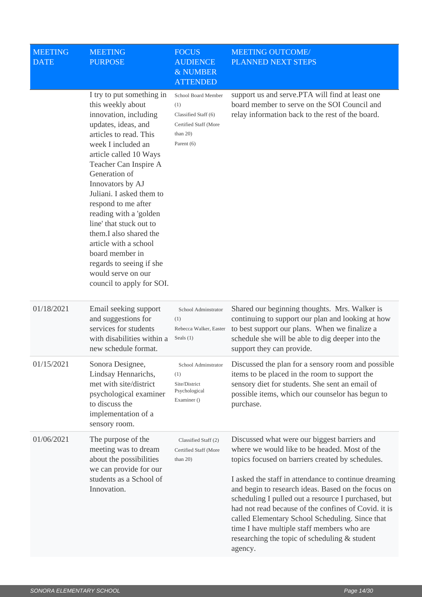| <b>MEETING</b><br><b>DATE</b> | <b>MEETING</b><br><b>PURPOSE</b>                                                                                                                                                                                                                                                                                                                                                                                                                                                                    | <b>FOCUS</b><br><b>AUDIENCE</b><br>& NUMBER<br><b>ATTENDED</b>                                           | <b>MEETING OUTCOME/</b><br>PLANNED NEXT STEPS                                                                                                                                                                                                                                                                                                                                                                                                                                                                                               |
|-------------------------------|-----------------------------------------------------------------------------------------------------------------------------------------------------------------------------------------------------------------------------------------------------------------------------------------------------------------------------------------------------------------------------------------------------------------------------------------------------------------------------------------------------|----------------------------------------------------------------------------------------------------------|---------------------------------------------------------------------------------------------------------------------------------------------------------------------------------------------------------------------------------------------------------------------------------------------------------------------------------------------------------------------------------------------------------------------------------------------------------------------------------------------------------------------------------------------|
|                               | I try to put something in<br>this weekly about<br>innovation, including<br>updates, ideas, and<br>articles to read. This<br>week I included an<br>article called 10 Ways<br>Teacher Can Inspire A<br>Generation of<br>Innovators by AJ<br>Juliani. I asked them to<br>respond to me after<br>reading with a 'golden<br>line' that stuck out to<br>them.I also shared the<br>article with a school<br>board member in<br>regards to seeing if she<br>would serve on our<br>council to apply for SOI. | School Board Member<br>(1)<br>Classified Staff (6)<br>Certified Staff (More<br>than $20$ )<br>Parent (6) | support us and serve. PTA will find at least one<br>board member to serve on the SOI Council and<br>relay information back to the rest of the board.                                                                                                                                                                                                                                                                                                                                                                                        |
| 01/18/2021                    | Email seeking support<br>and suggestions for<br>services for students<br>with disabilities within a<br>new schedule format.                                                                                                                                                                                                                                                                                                                                                                         | School Adminstrator<br>(1)<br>Rebecca Walker, Easter<br>Seals $(1)$                                      | Shared our beginning thoughts. Mrs. Walker is<br>continuing to support our plan and looking at how<br>to best support our plans. When we finalize a<br>schedule she will be able to dig deeper into the<br>support they can provide.                                                                                                                                                                                                                                                                                                        |
| 01/15/2021                    | Sonora Designee,<br>Lindsay Hennarichs,<br>met with site/district<br>psychological examiner<br>to discuss the<br>implementation of a<br>sensory room.                                                                                                                                                                                                                                                                                                                                               | School Adminstrator<br>(1)<br>Site/District<br>Psychological<br>Examiner ()                              | Discussed the plan for a sensory room and possible<br>items to be placed in the room to support the<br>sensory diet for students. She sent an email of<br>possible items, which our counselor has begun to<br>purchase.                                                                                                                                                                                                                                                                                                                     |
| 01/06/2021                    | The purpose of the<br>meeting was to dream<br>about the possibilities<br>we can provide for our<br>students as a School of<br>Innovation.                                                                                                                                                                                                                                                                                                                                                           | Classified Staff (2)<br>Certified Staff (More<br>than $20$ )                                             | Discussed what were our biggest barriers and<br>where we would like to be headed. Most of the<br>topics focused on barriers created by schedules.<br>I asked the staff in attendance to continue dreaming<br>and begin to research ideas. Based on the focus on<br>scheduling I pulled out a resource I purchased, but<br>had not read because of the confines of Covid. it is<br>called Elementary School Scheduling. Since that<br>time I have multiple staff members who are<br>researching the topic of scheduling & student<br>agency. |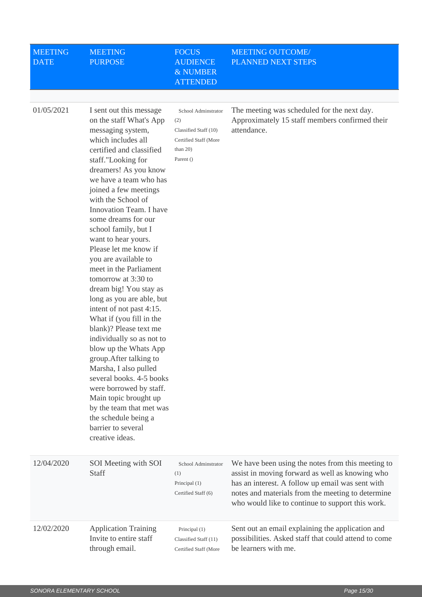| <b>MEETING</b><br><b>DATE</b> | <b>MEETING</b><br><b>PURPOSE</b>                                                                                                                                                                                                                                                                                                                                                                                                                                                                                                                                                                                                                                                                                                                                                                                                                                                     | <b>FOCUS</b><br><b>AUDIENCE</b><br>& NUMBER<br><b>ATTENDED</b>                                           | <b>MEETING OUTCOME/</b><br>PLANNED NEXT STEPS                                                                                                                                                                                                                     |
|-------------------------------|--------------------------------------------------------------------------------------------------------------------------------------------------------------------------------------------------------------------------------------------------------------------------------------------------------------------------------------------------------------------------------------------------------------------------------------------------------------------------------------------------------------------------------------------------------------------------------------------------------------------------------------------------------------------------------------------------------------------------------------------------------------------------------------------------------------------------------------------------------------------------------------|----------------------------------------------------------------------------------------------------------|-------------------------------------------------------------------------------------------------------------------------------------------------------------------------------------------------------------------------------------------------------------------|
| 01/05/2021                    | I sent out this message<br>on the staff What's App<br>messaging system,<br>which includes all<br>certified and classified<br>staff."Looking for<br>dreamers! As you know<br>we have a team who has<br>joined a few meetings<br>with the School of<br>Innovation Team. I have<br>some dreams for our<br>school family, but I<br>want to hear yours.<br>Please let me know if<br>you are available to<br>meet in the Parliament<br>tomorrow at 3:30 to<br>dream big! You stay as<br>long as you are able, but<br>intent of not past 4:15.<br>What if (you fill in the<br>blank)? Please text me<br>individually so as not to<br>blow up the Whats App<br>group. After talking to<br>Marsha, I also pulled<br>several books. 4-5 books<br>were borrowed by staff.<br>Main topic brought up<br>by the team that met was<br>the schedule being a<br>barrier to several<br>creative ideas. | School Adminstrator<br>(2)<br>Classified Staff (10)<br>Certified Staff (More<br>than $20$ )<br>Parent () | The meeting was scheduled for the next day.<br>Approximately 15 staff members confirmed their<br>attendance.                                                                                                                                                      |
| 12/04/2020                    | SOI Meeting with SOI<br>Staff                                                                                                                                                                                                                                                                                                                                                                                                                                                                                                                                                                                                                                                                                                                                                                                                                                                        | School Adminstrator<br>(1)<br>Principal (1)<br>Certified Staff (6)                                       | We have been using the notes from this meeting to<br>assist in moving forward as well as knowing who<br>has an interest. A follow up email was sent with<br>notes and materials from the meeting to determine<br>who would like to continue to support this work. |
| 12/02/2020                    | <b>Application Training</b><br>Invite to entire staff<br>through email.                                                                                                                                                                                                                                                                                                                                                                                                                                                                                                                                                                                                                                                                                                                                                                                                              | Principal (1)<br>Classified Staff (11)<br>Certified Staff (More                                          | Sent out an email explaining the application and<br>possibilities. Asked staff that could attend to come<br>be learners with me.                                                                                                                                  |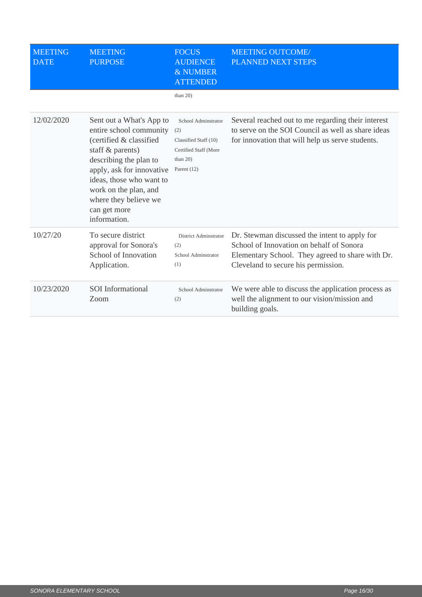| <b>MEETING</b><br><b>DATE</b> | <b>MEETING</b><br><b>PURPOSE</b>                                                                                                                                                                                                                                        | <b>FOCUS</b><br><b>AUDIENCE</b><br>& NUMBER<br><b>ATTENDED</b>                                               | <b>MEETING OUTCOME/</b><br>PLANNED NEXT STEPS                                                                                                                                        |
|-------------------------------|-------------------------------------------------------------------------------------------------------------------------------------------------------------------------------------------------------------------------------------------------------------------------|--------------------------------------------------------------------------------------------------------------|--------------------------------------------------------------------------------------------------------------------------------------------------------------------------------------|
|                               |                                                                                                                                                                                                                                                                         | than $20$ )                                                                                                  |                                                                                                                                                                                      |
| 12/02/2020                    | Sent out a What's App to<br>entire school community<br>(certified & classified<br>staff & parents)<br>describing the plan to<br>apply, ask for innovative<br>ideas, those who want to<br>work on the plan, and<br>where they believe we<br>can get more<br>information. | School Adminstrator<br>(2)<br>Classified Staff (10)<br>Certified Staff (More<br>than $20$ )<br>Parent $(12)$ | Several reached out to me regarding their interest<br>to serve on the SOI Council as well as share ideas<br>for innovation that will help us serve students.                         |
| 10/27/20                      | To secure district<br>approval for Sonora's<br>School of Innovation<br>Application.                                                                                                                                                                                     | District Adminstrator<br>(2)<br>School Adminstrator<br>(1)                                                   | Dr. Stewman discussed the intent to apply for<br>School of Innovation on behalf of Sonora<br>Elementary School. They agreed to share with Dr.<br>Cleveland to secure his permission. |
| 10/23/2020                    | <b>SOI</b> Informational<br>Zoom                                                                                                                                                                                                                                        | School Adminstrator<br>(2)                                                                                   | We were able to discuss the application process as<br>well the alignment to our vision/mission and<br>building goals.                                                                |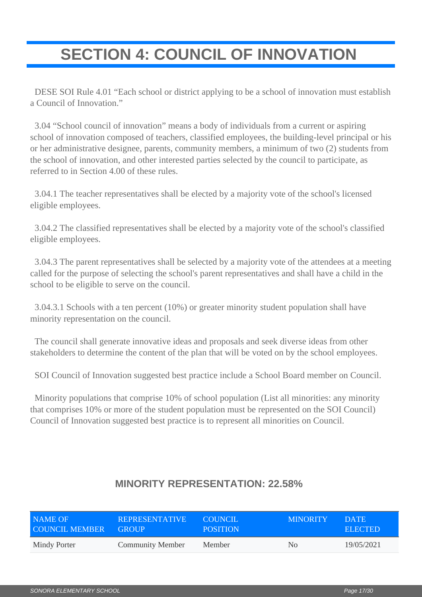## <span id="page-16-0"></span>**SECTION 4: COUNCIL OF INNOVATION**

 DESE SOI Rule 4.01 "Each school or district applying to be a school of innovation must establish a Council of Innovation."

 3.04 "School council of innovation" means a body of individuals from a current or aspiring school of innovation composed of teachers, classified employees, the building-level principal or his or her administrative designee, parents, community members, a minimum of two (2) students from the school of innovation, and other interested parties selected by the council to participate, as referred to in Section 4.00 of these rules.

 3.04.1 The teacher representatives shall be elected by a majority vote of the school's licensed eligible employees.

 3.04.2 The classified representatives shall be elected by a majority vote of the school's classified eligible employees.

 3.04.3 The parent representatives shall be selected by a majority vote of the attendees at a meeting called for the purpose of selecting the school's parent representatives and shall have a child in the school to be eligible to serve on the council.

 3.04.3.1 Schools with a ten percent (10%) or greater minority student population shall have minority representation on the council.

 The council shall generate innovative ideas and proposals and seek diverse ideas from other stakeholders to determine the content of the plan that will be voted on by the school employees.

SOI Council of Innovation suggested best practice include a School Board member on Council.

 Minority populations that comprise 10% of school population (List all minorities: any minority that comprises 10% or more of the student population must be represented on the SOI Council) Council of Innovation suggested best practice is to represent all minorities on Council.

| NAME OF        | <b>REPRESENTATIVE</b>   | COUNCIL.        | <b>MINORITY</b> | DATE.          |
|----------------|-------------------------|-----------------|-----------------|----------------|
| COUNCIL MEMBER | <b>GROUP</b>            | <b>POSITION</b> |                 | <b>ELECTED</b> |
| Mindy Porter   | <b>Community Member</b> | <b>Member</b>   | N <sub>0</sub>  | 19/05/2021     |

### **MINORITY REPRESENTATION: 22.58%**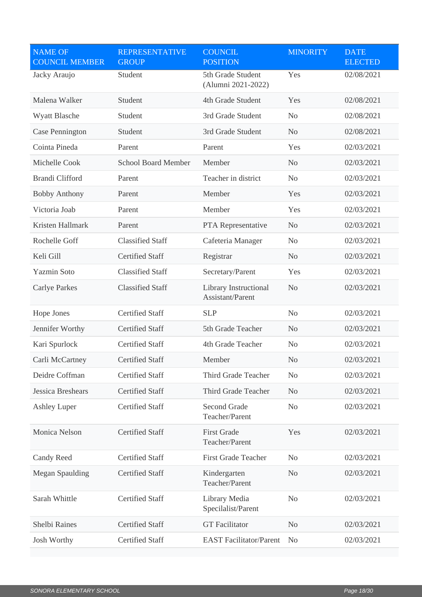| <b>NAME OF</b><br><b>COUNCIL MEMBER</b> | <b>REPRESENTATIVE</b><br><b>GROUP</b> | <b>COUNCIL</b><br><b>POSITION</b>         | <b>MINORITY</b> | <b>DATE</b><br><b>ELECTED</b> |
|-----------------------------------------|---------------------------------------|-------------------------------------------|-----------------|-------------------------------|
| Jacky Araujo                            | Student                               | 5th Grade Student<br>(Alumni 2021-2022)   | Yes             | 02/08/2021                    |
| Malena Walker                           | Student                               | 4th Grade Student                         | Yes             | 02/08/2021                    |
| <b>Wyatt Blasche</b>                    | Student                               | 3rd Grade Student                         | N <sub>o</sub>  | 02/08/2021                    |
| <b>Case Pennington</b>                  | Student                               | 3rd Grade Student                         | N <sub>o</sub>  | 02/08/2021                    |
| Cointa Pineda                           | Parent                                | Parent                                    | Yes             | 02/03/2021                    |
| Michelle Cook                           | <b>School Board Member</b>            | Member                                    | N <sub>o</sub>  | 02/03/2021                    |
| <b>Brandi Clifford</b>                  | Parent                                | Teacher in district                       | N <sub>o</sub>  | 02/03/2021                    |
| <b>Bobby Anthony</b>                    | Parent                                | Member                                    | Yes             | 02/03/2021                    |
| Victoria Joab                           | Parent                                | Member                                    | Yes             | 02/03/2021                    |
| Kristen Hallmark                        | Parent                                | PTA Representative                        | N <sub>o</sub>  | 02/03/2021                    |
| Rochelle Goff                           | <b>Classified Staff</b>               | Cafeteria Manager                         | N <sub>o</sub>  | 02/03/2021                    |
| Keli Gill                               | <b>Certified Staff</b>                | Registrar                                 | N <sub>o</sub>  | 02/03/2021                    |
| <b>Yazmin Soto</b>                      | <b>Classified Staff</b>               | Secretary/Parent                          | Yes             | 02/03/2021                    |
| <b>Carlye Parkes</b>                    | <b>Classified Staff</b>               | Library Instructional<br>Assistant/Parent | N <sub>o</sub>  | 02/03/2021                    |
| Hope Jones                              | <b>Certified Staff</b>                | <b>SLP</b>                                | N <sub>o</sub>  | 02/03/2021                    |
| Jennifer Worthy                         | <b>Certified Staff</b>                | 5th Grade Teacher                         | N <sub>o</sub>  | 02/03/2021                    |
| Kari Spurlock                           | <b>Certified Staff</b>                | 4th Grade Teacher                         | N <sub>o</sub>  | 02/03/2021                    |
| Carli McCartney                         | <b>Certified Staff</b>                | <b>Member</b>                             | N <sub>o</sub>  | 02/03/2021                    |
| Deidre Coffman                          | <b>Certified Staff</b>                | Third Grade Teacher                       | N <sub>0</sub>  | 02/03/2021                    |
| Jessica Breshears                       | <b>Certified Staff</b>                | Third Grade Teacher                       | N <sub>0</sub>  | 02/03/2021                    |
| <b>Ashley Luper</b>                     | <b>Certified Staff</b>                | <b>Second Grade</b><br>Teacher/Parent     | N <sub>o</sub>  | 02/03/2021                    |
| Monica Nelson                           | <b>Certified Staff</b>                | <b>First Grade</b><br>Teacher/Parent      | Yes             | 02/03/2021                    |
| <b>Candy Reed</b>                       | <b>Certified Staff</b>                | <b>First Grade Teacher</b>                | N <sub>o</sub>  | 02/03/2021                    |
| <b>Megan Spaulding</b>                  | <b>Certified Staff</b>                | Kindergarten<br>Teacher/Parent            | N <sub>o</sub>  | 02/03/2021                    |
| Sarah Whittle                           | <b>Certified Staff</b>                | Library Media<br>Specilalist/Parent       | No              | 02/03/2021                    |
| Shelbi Raines                           | <b>Certified Staff</b>                | <b>GT</b> Facilitator                     | N <sub>o</sub>  | 02/03/2021                    |
| <b>Josh Worthy</b>                      | <b>Certified Staff</b>                | <b>EAST Facilitator/Parent</b>            | N <sub>0</sub>  | 02/03/2021                    |
|                                         |                                       |                                           |                 |                               |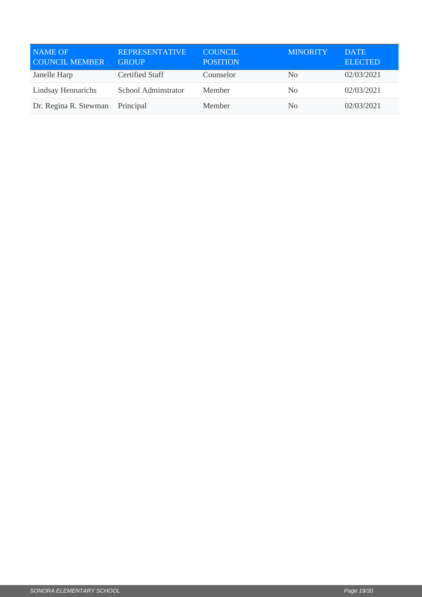| <b>NAME OF</b><br><b>COUNCIL MEMBER</b> | <b>REPRESENTATIVE</b><br><b>GROUP</b> | <b>COUNCIL</b><br><b>POSITION</b> | <b>MINORITY</b> | <b>DATE</b><br><b>ELECTED</b> |
|-----------------------------------------|---------------------------------------|-----------------------------------|-----------------|-------------------------------|
| Janelle Harp                            | Certified Staff                       | Counselor                         | N <sub>0</sub>  | 02/03/2021                    |
| <b>Lindsay Hennarichs</b>               | School Adminstrator                   | Member                            | N <sub>0</sub>  | 02/03/2021                    |
| Dr. Regina R. Stewman                   | Principal                             | Member                            | N <sub>0</sub>  | 02/03/2021                    |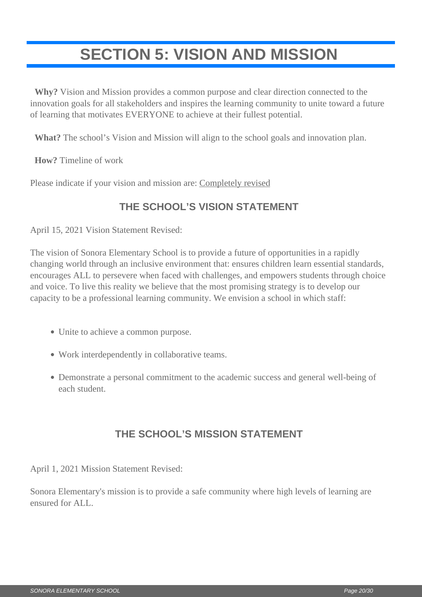## <span id="page-19-0"></span>**SECTION 5: VISION AND MISSION**

 **Why?** Vision and Mission provides a common purpose and clear direction connected to the innovation goals for all stakeholders and inspires the learning community to unite toward a future of learning that motivates EVERYONE to achieve at their fullest potential.

**What?** The school's Vision and Mission will align to the school goals and innovation plan.

**How?** Timeline of work

Please indicate if your vision and mission are: Completely revised

### **THE SCHOOL'S VISION STATEMENT**

April 15, 2021 Vision Statement Revised:

The vision of Sonora Elementary School is to provide a future of opportunities in a rapidly changing world through an inclusive environment that: ensures children learn essential standards, encourages ALL to persevere when faced with challenges, and empowers students through choice and voice. To live this reality we believe that the most promising strategy is to develop our capacity to be a professional learning community. We envision a school in which staff:

- Unite to achieve a common purpose.
- Work interdependently in collaborative teams.
- Demonstrate a personal commitment to the academic success and general well-being of each student.

### **THE SCHOOL'S MISSION STATEMENT**

April 1, 2021 Mission Statement Revised:

Sonora Elementary's mission is to provide a safe community where high levels of learning are ensured for ALL.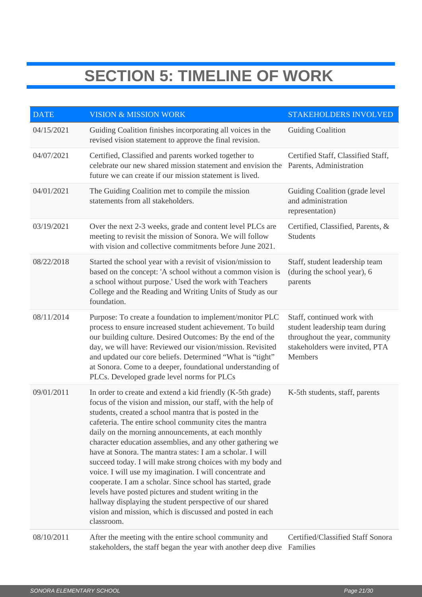## **SECTION 5: TIMELINE OF WORK**

| <b>DATE</b> | <b>VISION &amp; MISSION WORK</b>                                                                                                                                                                                                                                                                                                                                                                                                                                                                                                                                                                                                                                                                                                                                                                                            | <b>STAKEHOLDERS INVOLVED</b>                                                                                                                |
|-------------|-----------------------------------------------------------------------------------------------------------------------------------------------------------------------------------------------------------------------------------------------------------------------------------------------------------------------------------------------------------------------------------------------------------------------------------------------------------------------------------------------------------------------------------------------------------------------------------------------------------------------------------------------------------------------------------------------------------------------------------------------------------------------------------------------------------------------------|---------------------------------------------------------------------------------------------------------------------------------------------|
| 04/15/2021  | Guiding Coalition finishes incorporating all voices in the<br>revised vision statement to approve the final revision.                                                                                                                                                                                                                                                                                                                                                                                                                                                                                                                                                                                                                                                                                                       | <b>Guiding Coalition</b>                                                                                                                    |
| 04/07/2021  | Certified, Classified and parents worked together to<br>celebrate our new shared mission statement and envision the<br>future we can create if our mission statement is lived.                                                                                                                                                                                                                                                                                                                                                                                                                                                                                                                                                                                                                                              | Certified Staff, Classified Staff,<br>Parents, Administration                                                                               |
| 04/01/2021  | The Guiding Coalition met to compile the mission<br>statements from all stakeholders.                                                                                                                                                                                                                                                                                                                                                                                                                                                                                                                                                                                                                                                                                                                                       | Guiding Coalition (grade level<br>and administration<br>representation)                                                                     |
| 03/19/2021  | Over the next 2-3 weeks, grade and content level PLCs are<br>meeting to revisit the mission of Sonora. We will follow<br>with vision and collective commitments before June 2021.                                                                                                                                                                                                                                                                                                                                                                                                                                                                                                                                                                                                                                           | Certified, Classified, Parents, &<br><b>Students</b>                                                                                        |
| 08/22/2018  | Started the school year with a revisit of vision/mission to<br>based on the concept: 'A school without a common vision is<br>a school without purpose.' Used the work with Teachers<br>College and the Reading and Writing Units of Study as our<br>foundation.                                                                                                                                                                                                                                                                                                                                                                                                                                                                                                                                                             | Staff, student leadership team<br>(during the school year), 6<br>parents                                                                    |
| 08/11/2014  | Purpose: To create a foundation to implement/monitor PLC<br>process to ensure increased student achievement. To build<br>our building culture. Desired Outcomes: By the end of the<br>day, we will have: Reviewed our vision/mission. Revisited<br>and updated our core beliefs. Determined "What is "tight"<br>at Sonora. Come to a deeper, foundational understanding of<br>PLCs. Developed grade level norms for PLCs                                                                                                                                                                                                                                                                                                                                                                                                    | Staff, continued work with<br>student leadership team during<br>throughout the year, community<br>stakeholders were invited, PTA<br>Members |
| 09/01/2011  | In order to create and extend a kid friendly (K-5th grade)<br>focus of the vision and mission, our staff, with the help of<br>students, created a school mantra that is posted in the<br>cafeteria. The entire school community cites the mantra<br>daily on the morning announcements, at each monthly<br>character education assemblies, and any other gathering we<br>have at Sonora. The mantra states: I am a scholar. I will<br>succeed today. I will make strong choices with my body and<br>voice. I will use my imagination. I will concentrate and<br>cooperate. I am a scholar. Since school has started, grade<br>levels have posted pictures and student writing in the<br>hallway displaying the student perspective of our shared<br>vision and mission, which is discussed and posted in each<br>classroom. | K-5th students, staff, parents                                                                                                              |
| 08/10/2011  | After the meeting with the entire school community and<br>stakeholders, the staff began the year with another deep dive Families                                                                                                                                                                                                                                                                                                                                                                                                                                                                                                                                                                                                                                                                                            | Certified/Classified Staff Sonora                                                                                                           |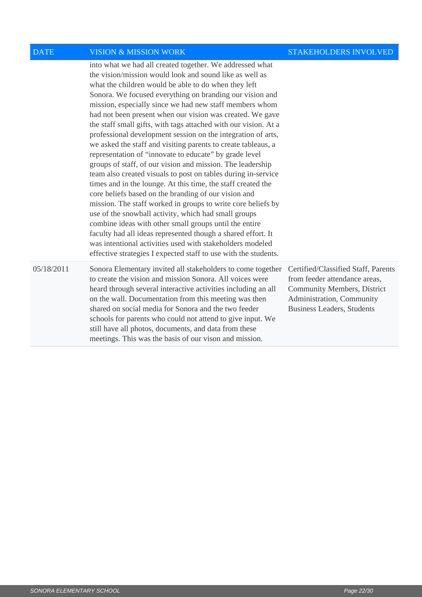| <b>DATE</b> | <b>VISION &amp; MISSION WORK</b>                                                                                                                                                                                                                                                                                                                                                                                                                                                                                                                                                                                                                                                                                                                                                                                                                                                                                                                                                                                                                                                                                                                                                                                                                                       | <b>STAKEHOLDERS INVOLVED</b>                                                                                                                                          |
|-------------|------------------------------------------------------------------------------------------------------------------------------------------------------------------------------------------------------------------------------------------------------------------------------------------------------------------------------------------------------------------------------------------------------------------------------------------------------------------------------------------------------------------------------------------------------------------------------------------------------------------------------------------------------------------------------------------------------------------------------------------------------------------------------------------------------------------------------------------------------------------------------------------------------------------------------------------------------------------------------------------------------------------------------------------------------------------------------------------------------------------------------------------------------------------------------------------------------------------------------------------------------------------------|-----------------------------------------------------------------------------------------------------------------------------------------------------------------------|
|             | into what we had all created together. We addressed what<br>the vision/mission would look and sound like as well as<br>what the children would be able to do when they left<br>Sonora. We focused everything on branding our vision and<br>mission, especially since we had new staff members whom<br>had not been present when our vision was created. We gave<br>the staff small gifts, with tags attached with our vision. At a<br>professional development session on the integration of arts,<br>we asked the staff and visiting parents to create tableaus, a<br>representation of "innovate to educate" by grade level<br>groups of staff, of our vision and mission. The leadership<br>team also created visuals to post on tables during in-service<br>times and in the lounge. At this time, the staff created the<br>core beliefs based on the branding of our vision and<br>mission. The staff worked in groups to write core beliefs by<br>use of the snowball activity, which had small groups<br>combine ideas with other small groups until the entire<br>faculty had all ideas represented though a shared effort. It<br>was intentional activities used with stakeholders modeled<br>effective strategies I expected staff to use with the students. |                                                                                                                                                                       |
| 05/18/2011  | Sonora Elementary invited all stakeholders to come together<br>to create the vision and mission Sonora. All voices were<br>heard through several interactive activities including an all<br>on the wall. Documentation from this meeting was then<br>shared on social media for Sonora and the two feeder<br>schools for parents who could not attend to give input. We<br>still have all photos, documents, and data from these<br>meetings. This was the basis of our vison and mission.                                                                                                                                                                                                                                                                                                                                                                                                                                                                                                                                                                                                                                                                                                                                                                             | Certified/Classified Staff, Parents<br>from feeder attendance areas,<br>Community Members, District<br>Administration, Community<br><b>Business Leaders, Students</b> |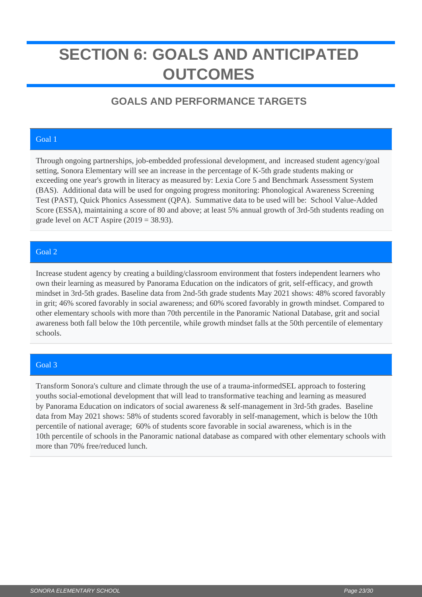## <span id="page-22-0"></span>**SECTION 6: GOALS AND ANTICIPATED OUTCOMES**

### **GOALS AND PERFORMANCE TARGETS**

#### Goal 1

Through ongoing partnerships, job-embedded professional development, and increased student agency/goal setting, Sonora Elementary will see an increase in the percentage of K-5th grade students making or exceeding one year's growth in literacy as measured by: Lexia Core 5 and Benchmark Assessment System (BAS). Additional data will be used for ongoing progress monitoring: Phonological Awareness Screening Test (PAST), Quick Phonics Assessment (QPA). Summative data to be used will be: School Value-Added Score (ESSA), maintaining a score of 80 and above; at least 5% annual growth of 3rd-5th students reading on grade level on ACT Aspire  $(2019 = 38.93)$ .

#### Goal 2

Increase student agency by creating a building/classroom environment that fosters independent learners who own their learning as measured by Panorama Education on the indicators of grit, self-efficacy, and growth mindset in 3rd-5th grades. Baseline data from 2nd-5th grade students May 2021 shows: 48% scored favorably in grit; 46% scored favorably in social awareness; and 60% scored favorably in growth mindset. Compared to other elementary schools with more than 70th percentile in the Panoramic National Database, grit and social awareness both fall below the 10th percentile, while growth mindset falls at the 50th percentile of elementary schools.

#### Goal 3

Transform Sonora's culture and climate through the use of a trauma-informedSEL approach to fostering youths social-emotional development that will lead to transformative teaching and learning as measured by Panorama Education on indicators of social awareness & self-management in 3rd-5th grades. Baseline data from May 2021 shows: 58% of students scored favorably in self-management, which is below the 10th percentile of national average; 60% of students score favorable in social awareness, which is in the 10th percentile of schools in the Panoramic national database as compared with other elementary schools with more than 70% free/reduced lunch.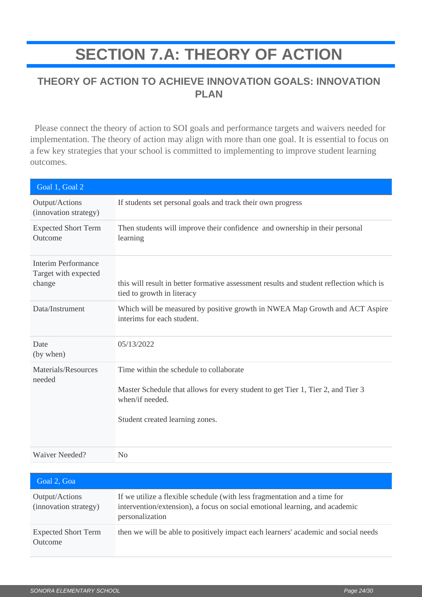## **SECTION 7.A: THEORY OF ACTION**

### <span id="page-23-0"></span>**THEORY OF ACTION TO ACHIEVE INNOVATION GOALS: INNOVATION PLAN**

 Please connect the theory of action to SOI goals and performance targets and waivers needed for implementation. The theory of action may align with more than one goal. It is essential to focus on a few key strategies that your school is committed to implementing to improve student learning outcomes.

| Goal 1, Goal 2                                               |                                                                                                                                                                                  |
|--------------------------------------------------------------|----------------------------------------------------------------------------------------------------------------------------------------------------------------------------------|
| Output/Actions<br>(innovation strategy)                      | If students set personal goals and track their own progress                                                                                                                      |
| <b>Expected Short Term</b><br>Outcome                        | Then students will improve their confidence and ownership in their personal<br>learning                                                                                          |
| <b>Interim Performance</b><br>Target with expected<br>change | this will result in better formative assessment results and student reflection which is<br>tied to growth in literacy                                                            |
| Data/Instrument                                              | Which will be measured by positive growth in NWEA Map Growth and ACT Aspire<br>interims for each student.                                                                        |
| Date<br>(by when)                                            | 05/13/2022                                                                                                                                                                       |
| Materials/Resources<br>needed                                | Time within the schedule to collaborate<br>Master Schedule that allows for every student to get Tier 1, Tier 2, and Tier 3<br>when/if needed.<br>Student created learning zones. |
| <b>Waiver Needed?</b>                                        | No                                                                                                                                                                               |

| Goal 2, Goa                             |                                                                                                                                                                             |
|-----------------------------------------|-----------------------------------------------------------------------------------------------------------------------------------------------------------------------------|
| Output/Actions<br>(innovation strategy) | If we utilize a flexible schedule (with less fragmentation and a time for<br>intervention/extension), a focus on social emotional learning, and academic<br>personalization |
| <b>Expected Short Term</b><br>Outcome   | then we will be able to positively impact each learners' academic and social needs                                                                                          |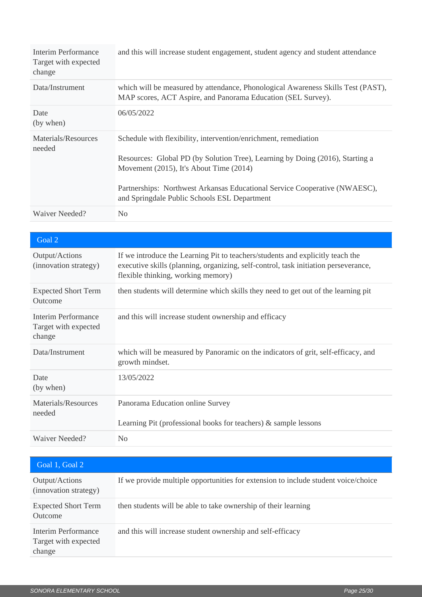| Interim Performance<br>Target with expected<br>change | and this will increase student engagement, student agency and student attendance                                                                                                                                                                                                                                          |
|-------------------------------------------------------|---------------------------------------------------------------------------------------------------------------------------------------------------------------------------------------------------------------------------------------------------------------------------------------------------------------------------|
| Data/Instrument                                       | which will be measured by attendance, Phonological Awareness Skills Test (PAST),<br>MAP scores, ACT Aspire, and Panorama Education (SEL Survey).                                                                                                                                                                          |
| Date<br>(by when)                                     | 06/05/2022                                                                                                                                                                                                                                                                                                                |
| Materials/Resources<br>needed                         | Schedule with flexibility, intervention/enrichment, remediation<br>Resources: Global PD (by Solution Tree), Learning by Doing (2016), Starting a<br>Movement (2015), It's About Time (2014)<br>Partnerships: Northwest Arkansas Educational Service Cooperative (NWAESC),<br>and Springdale Public Schools ESL Department |
| Waiver Needed?                                        | N <sub>0</sub>                                                                                                                                                                                                                                                                                                            |

| Goal 2                                                |                                                                                                                                                                                                             |
|-------------------------------------------------------|-------------------------------------------------------------------------------------------------------------------------------------------------------------------------------------------------------------|
| Output/Actions<br>(innovation strategy)               | If we introduce the Learning Pit to teachers/students and explicitly teach the<br>executive skills (planning, organizing, self-control, task initiation perseverance,<br>flexible thinking, working memory) |
| <b>Expected Short Term</b><br>Outcome                 | then students will determine which skills they need to get out of the learning pit                                                                                                                          |
| Interim Performance<br>Target with expected<br>change | and this will increase student ownership and efficacy                                                                                                                                                       |
| Data/Instrument                                       | which will be measured by Panoramic on the indicators of grit, self-efficacy, and<br>growth mindset.                                                                                                        |
| Date<br>(by when)                                     | 13/05/2022                                                                                                                                                                                                  |
| Materials/Resources<br>needed                         | Panorama Education online Survey<br>Learning Pit (professional books for teachers) $\&$ sample lessons                                                                                                      |
| Waiver Needed?                                        | No                                                                                                                                                                                                          |

| Goal 1, Goal 2                                        |                                                                                    |
|-------------------------------------------------------|------------------------------------------------------------------------------------|
| Output/Actions<br>(innovation strategy)               | If we provide multiple opportunities for extension to include student voice/choice |
| <b>Expected Short Term</b><br>Outcome                 | then students will be able to take ownership of their learning                     |
| Interim Performance<br>Target with expected<br>change | and this will increase student ownership and self-efficacy                         |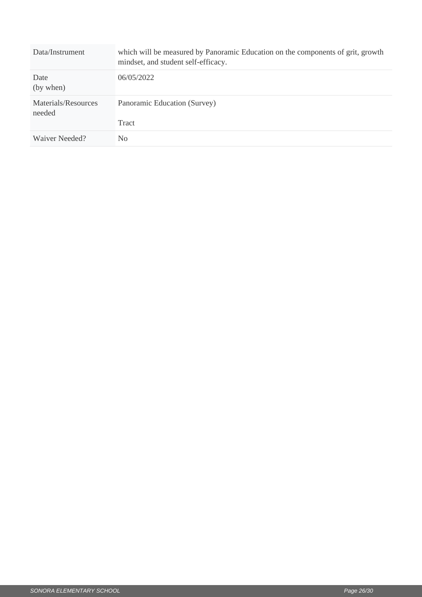| Data/Instrument               | which will be measured by Panoramic Education on the components of grit, growth<br>mindset, and student self-efficacy. |
|-------------------------------|------------------------------------------------------------------------------------------------------------------------|
| Date<br>(by when)             | 06/05/2022                                                                                                             |
| Materials/Resources<br>needed | Panoramic Education (Survey)<br>Tract                                                                                  |
| Waiver Needed?                | No.                                                                                                                    |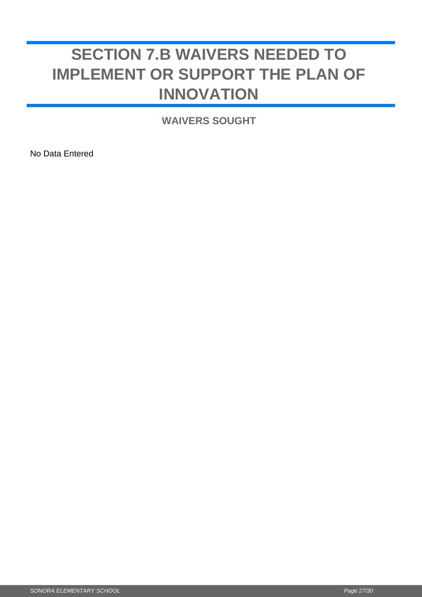## <span id="page-26-0"></span>**SECTION 7.B WAIVERS NEEDED TO IMPLEMENT OR SUPPORT THE PLAN OF INNOVATION**

**WAIVERS SOUGHT**

No Data Entered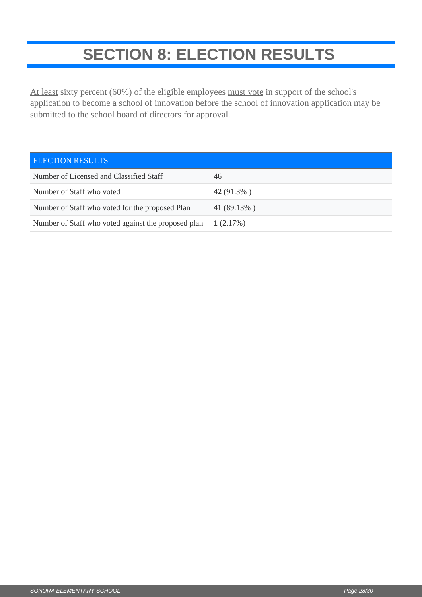## **SECTION 8: ELECTION RESULTS**

<span id="page-27-0"></span>At least sixty percent (60%) of the eligible employees must vote in support of the school's application to become a school of innovation before the school of innovation application may be submitted to the school board of directors for approval.

| <b>ELECTION RESULTS</b>                             |               |
|-----------------------------------------------------|---------------|
| Number of Licensed and Classified Staff             | 46            |
| Number of Staff who voted                           | 42 $(91.3\%)$ |
| Number of Staff who voted for the proposed Plan     | 41 (89.13%)   |
| Number of Staff who voted against the proposed plan | 1(2.17%)      |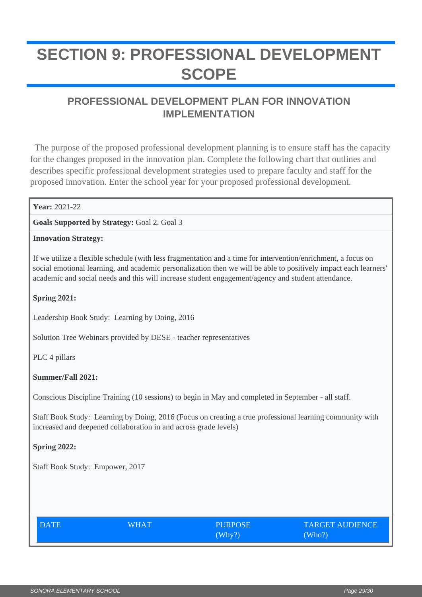## <span id="page-28-0"></span>**SECTION 9: PROFESSIONAL DEVELOPMENT SCOPE**

### **PROFESSIONAL DEVELOPMENT PLAN FOR INNOVATION IMPLEMENTATION**

 The purpose of the proposed professional development planning is to ensure staff has the capacity for the changes proposed in the innovation plan. Complete the following chart that outlines and describes specific professional development strategies used to prepare faculty and staff for the proposed innovation. Enter the school year for your proposed professional development.

#### **Year:** 2021-22

**Goals Supported by Strategy:** Goal 2, Goal 3

#### **Innovation Strategy:**

If we utilize a flexible schedule (with less fragmentation and a time for intervention/enrichment, a focus on social emotional learning, and academic personalization then we will be able to positively impact each learners' academic and social needs and this will increase student engagement/agency and student attendance.

**Spring 2021:** 

Leadership Book Study: Learning by Doing, 2016

Solution Tree Webinars provided by DESE - teacher representatives

PLC 4 pillars

#### **Summer/Fall 2021:**

Conscious Discipline Training (10 sessions) to begin in May and completed in September - all staff.

Staff Book Study: Learning by Doing, 2016 (Focus on creating a true professional learning community with increased and deepened collaboration in and across grade levels)

#### **Spring 2022:**

Staff Book Study: Empower, 2017

| DATE | WHAT | <b>PURPOSE</b> | <b>TARGET AUDIENCE</b> |
|------|------|----------------|------------------------|
|      |      | (Why?)         | (Who?)                 |